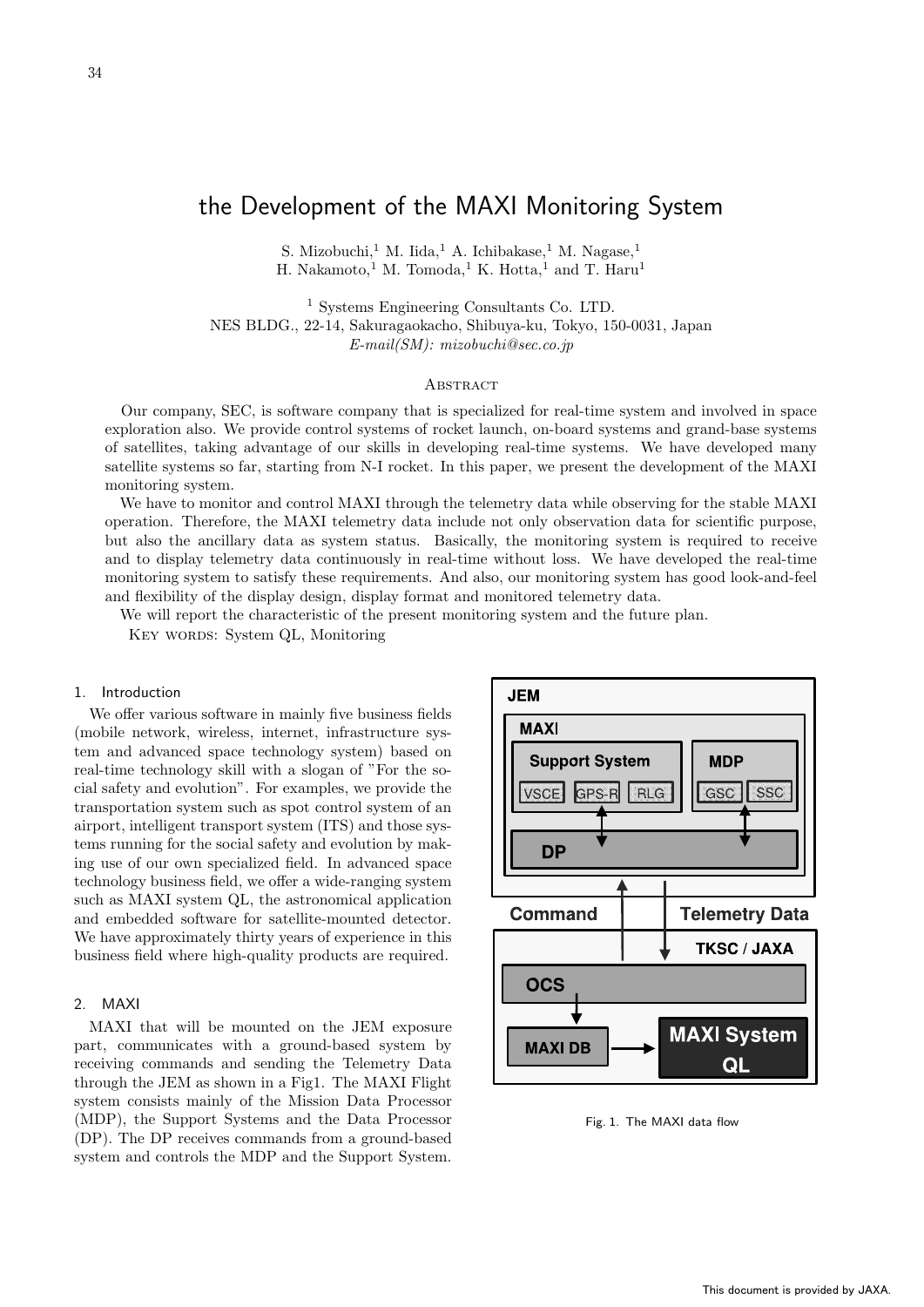34

# the Development of the MAXI Monitoring System

S. Mizobuchi,<sup>1</sup> M. Iida,<sup>1</sup> A. Ichibakase,<sup>1</sup> M. Nagase,<sup>1</sup> H. Nakamoto,<sup>1</sup> M. Tomoda,<sup>1</sup> K. Hotta,<sup>1</sup> and T. Haru<sup>1</sup>

<sup>1</sup> Systems Engineering Consultants Co. LTD. NES BLDG., 22-14, Sakuragaokacho, Shibuya-ku, Tokyo, 150-0031, Japan E-mail(SM): mizobuchi@sec.co.jp

## **ABSTRACT**

Our company, SEC, is software company that is specialized for real-time system and involved in space exploration also. We provide control systems of rocket launch, on-board systems and grand-base systems of satellites, taking advantage of our skills in developing real-time systems. We have developed many satellite systems so far, starting from N-I rocket. In this paper, we present the development of the MAXI monitoring system.

We have to monitor and control MAXI through the telemetry data while observing for the stable MAXI operation. Therefore, the MAXI telemetry data include not only observation data for scientific purpose, but also the ancillary data as system status. Basically, the monitoring system is required to receive and to display telemetry data continuously in real-time without loss. We have developed the real-time monitoring system to satisfy these requirements. And also, our monitoring system has good look-and-feel and flexibility of the display design, display format and monitored telemetry data.

We will report the characteristic of the present monitoring system and the future plan.

KEY WORDS: System QL, Monitoring

## 1. Introduction

We offer various software in mainly five business fields (mobile network, wireless, internet, infrastructure system and advanced space technology system) based on real-time technology skill with a slogan of "For the social safety and evolution". For examples, we provide the transportation system such as spot control system of an airport, intelligent transport system (ITS) and those systems running for the social safety and evolution by making use of our own specialized field. In advanced space technology business field, we offer a wide-ranging system such as MAXI system QL, the astronomical application and embedded software for satellite-mounted detector. We have approximately thirty years of experience in this business field where high-quality products are required.

## 2. MAXI

MAXI that will be mounted on the JEM exposure part, communicates with a ground-based system by receiving commands and sending the Telemetry Data through the JEM as shown in a Fig1. The MAXI Flight system consists mainly of the Mission Data Processor (MDP), the Support Systems and the Data Processor (DP). The DP receives commands from a ground-based system and controls the MDP and the Support System.



Fig. 1. The MAXI data flow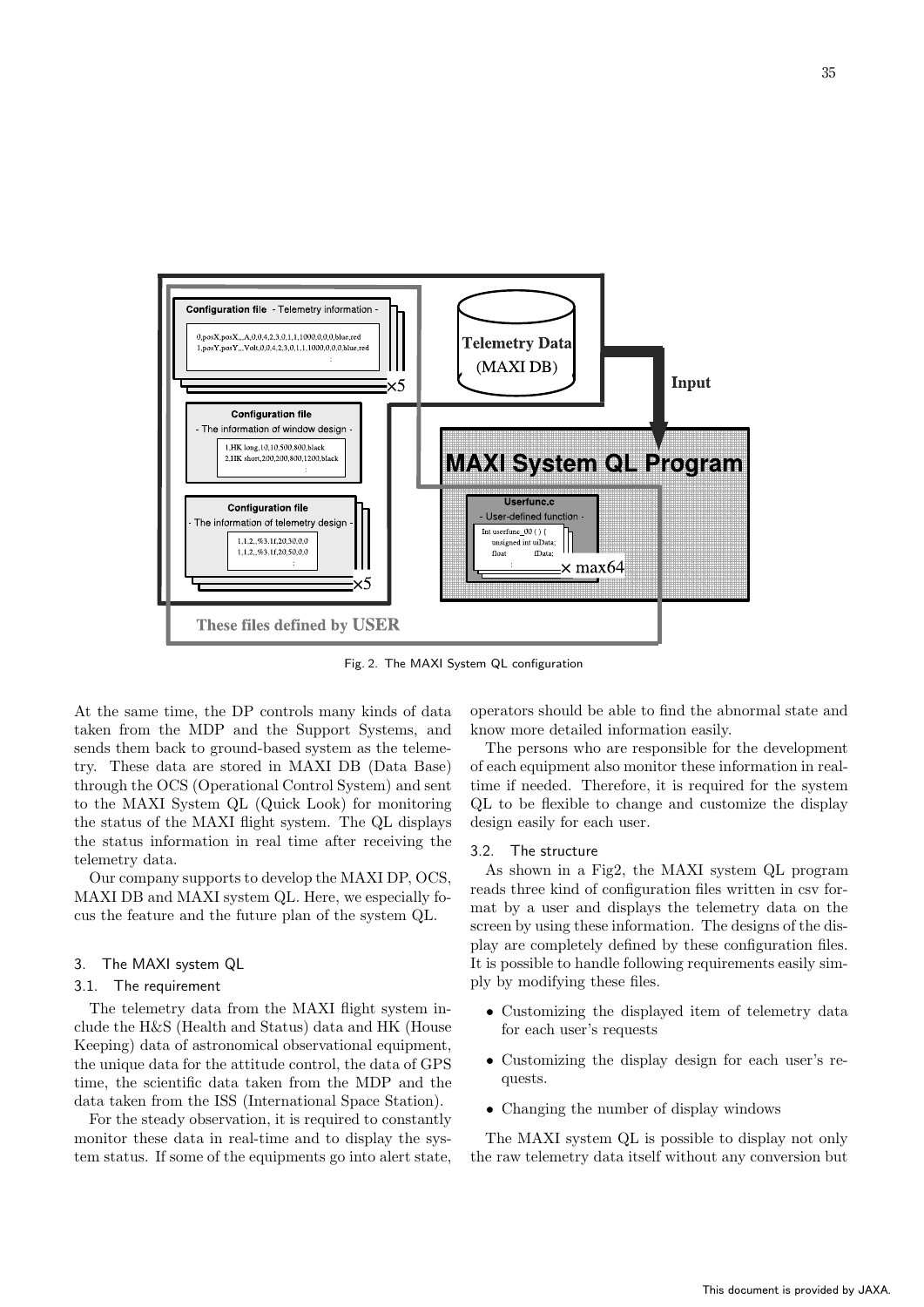

Fig. 2. The MAXI System QL configuration

At the same time, the DP controls many kinds of data taken from the MDP and the Support Systems, and sends them back to ground-based system as the telemetry. These data are stored in MAXI DB (Data Base) through the OCS (Operational Control System) and sent to the MAXI System QL (Quick Look) for monitoring the status of the MAXI flight system. The QL displays the status information in real time after receiving the telemetry data.

Our company supports to develop the MAXI DP, OCS, MAXI DB and MAXI system QL. Here, we especially focus the feature and the future plan of the system QL.

## 3. The MAXI system QL

#### 3.1. The requirement

The telemetry data from the MAXI flight system include the H&S (Health and Status) data and HK (House Keeping) data of astronomical observational equipment, the unique data for the attitude control, the data of GPS time, the scientific data taken from the MDP and the data taken from the ISS (International Space Station).

For the steady observation, it is required to constantly monitor these data in real-time and to display the system status. If some of the equipments go into alert state,

operators should be able to find the abnormal state and know more detailed information easily.

The persons who are responsible for the development of each equipment also monitor these information in realtime if needed. Therefore, it is required for the system QL to be flexible to change and customize the display design easily for each user.

#### 3.2. The structure

As shown in a Fig2, the MAXI system QL program reads three kind of configuration files written in csv format by a user and displays the telemetry data on the screen by using these information. The designs of the display are completely defined by these configuration files. It is possible to handle following requirements easily simply by modifying these files.

- Customizing the displayed item of telemetry data for each user's requests
- Customizing the display design for each user's requests.
- Changing the number of display windows

The MAXI system QL is possible to display not only the raw telemetry data itself without any conversion but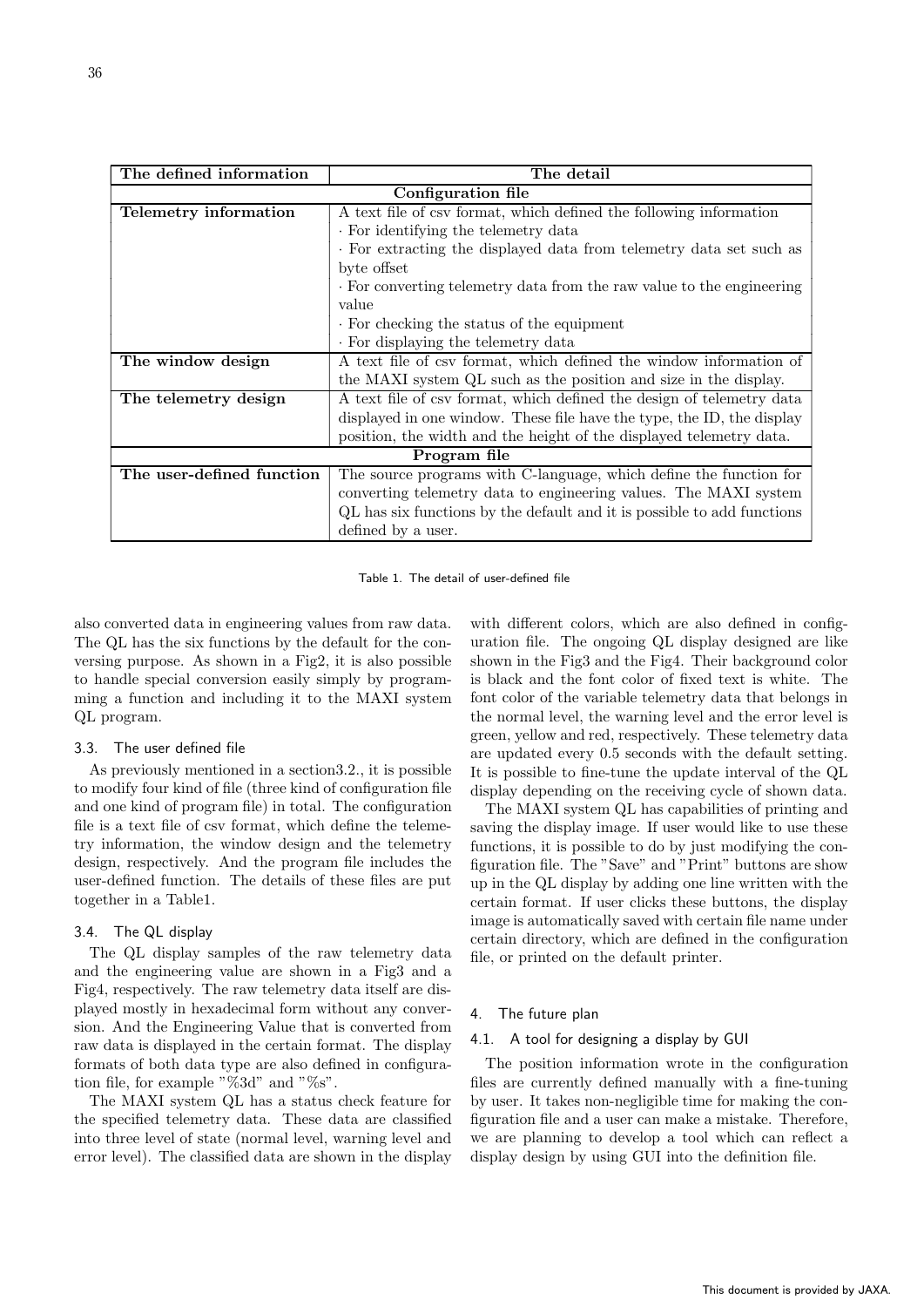| The defined information   | The detail                                                              |  |  |  |  |  |
|---------------------------|-------------------------------------------------------------------------|--|--|--|--|--|
| Configuration file        |                                                                         |  |  |  |  |  |
| Telemetry information     | A text file of csv format, which defined the following information      |  |  |  |  |  |
|                           | . For identifying the telemetry data                                    |  |  |  |  |  |
|                           | · For extracting the displayed data from telemetry data set such as     |  |  |  |  |  |
|                           | byte offset                                                             |  |  |  |  |  |
|                           | . For converting telemetry data from the raw value to the engineering   |  |  |  |  |  |
|                           | value                                                                   |  |  |  |  |  |
|                           | . For checking the status of the equipment                              |  |  |  |  |  |
|                           | . For displaying the telemetry data                                     |  |  |  |  |  |
| The window design         | A text file of csv format, which defined the window information of      |  |  |  |  |  |
|                           | the MAXI system QL such as the position and size in the display.        |  |  |  |  |  |
| The telemetry design      | A text file of csv format, which defined the design of telemetry data   |  |  |  |  |  |
|                           | displayed in one window. These file have the type, the ID, the display  |  |  |  |  |  |
|                           | position, the width and the height of the displayed telemetry data.     |  |  |  |  |  |
| Program file              |                                                                         |  |  |  |  |  |
| The user-defined function | The source programs with C-language, which define the function for      |  |  |  |  |  |
|                           | converting telemetry data to engineering values. The MAXI system        |  |  |  |  |  |
|                           | QL has six functions by the default and it is possible to add functions |  |  |  |  |  |
|                           | defined by a user.                                                      |  |  |  |  |  |

Table 1. The detail of user-defined file

also converted data in engineering values from raw data. The QL has the six functions by the default for the conversing purpose. As shown in a Fig2, it is also possible to handle special conversion easily simply by programming a function and including it to the MAXI system QL program.

#### 3.3. The user defined file

As previously mentioned in a section3.2., it is possible to modify four kind of file (three kind of configuration file and one kind of program file) in total. The configuration file is a text file of csv format, which define the telemetry information, the window design and the telemetry design, respectively. And the program file includes the user-defined function. The details of these files are put together in a Table1.

## 3.4. The QL display

The QL display samples of the raw telemetry data and the engineering value are shown in a Fig3 and a Fig4, respectively. The raw telemetry data itself are displayed mostly in hexadecimal form without any conversion. And the Engineering Value that is converted from raw data is displayed in the certain format. The display formats of both data type are also defined in configuration file, for example " $\%3d$ " and " $\%s$ ".

The MAXI system QL has a status check feature for the specified telemetry data. These data are classified into three level of state (normal level, warning level and error level). The classified data are shown in the display

with different colors, which are also defined in configuration file. The ongoing QL display designed are like shown in the Fig3 and the Fig4. Their background color is black and the font color of fixed text is white. The font color of the variable telemetry data that belongs in the normal level, the warning level and the error level is green, yellow and red, respectively. These telemetry data are updated every 0.5 seconds with the default setting. It is possible to fine-tune the update interval of the QL display depending on the receiving cycle of shown data.

The MAXI system QL has capabilities of printing and saving the display image. If user would like to use these functions, it is possible to do by just modifying the configuration file. The "Save" and "Print" buttons are show up in the QL display by adding one line written with the certain format. If user clicks these buttons, the display image is automatically saved with certain file name under certain directory, which are defined in the configuration file, or printed on the default printer.

## 4. The future plan

#### 4.1. A tool for designing a display by GUI

The position information wrote in the configuration files are currently defined manually with a fine-tuning by user. It takes non-negligible time for making the configuration file and a user can make a mistake. Therefore, we are planning to develop a tool which can reflect a display design by using GUI into the definition file.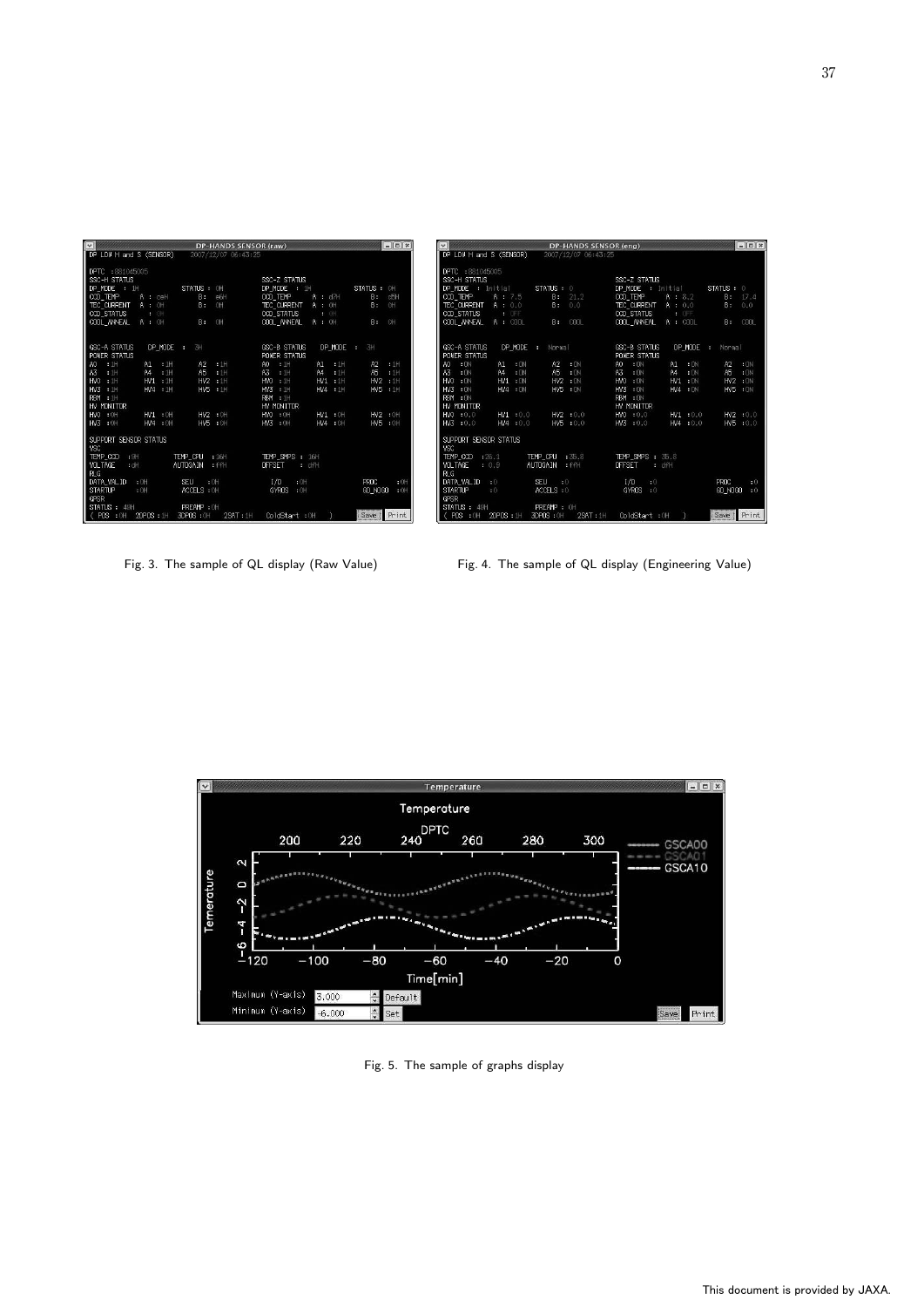| $\overline{\mathbf{v}}$                                                                                                                                                          | <b>DP-HANDS SENSOR (raw)</b>                                                                                     |                                                                                                                                                                                                  | $-15x$                                                                                  | $\vert \mathbf{v} \vert$                                                                                                                                                                                                     | DP-HANDS SENSOR (eng)                                                                                             |                                                                                                                                                                                     | $-15x$                                                                            |
|----------------------------------------------------------------------------------------------------------------------------------------------------------------------------------|------------------------------------------------------------------------------------------------------------------|--------------------------------------------------------------------------------------------------------------------------------------------------------------------------------------------------|-----------------------------------------------------------------------------------------|------------------------------------------------------------------------------------------------------------------------------------------------------------------------------------------------------------------------------|-------------------------------------------------------------------------------------------------------------------|-------------------------------------------------------------------------------------------------------------------------------------------------------------------------------------|-----------------------------------------------------------------------------------|
| DP LOW H and S (SENSOR)                                                                                                                                                          | 2007/12/07 06:43:25                                                                                              |                                                                                                                                                                                                  |                                                                                         | DP LOW H and S (SENSOR)                                                                                                                                                                                                      | 2007/12/07 06:43:25                                                                                               |                                                                                                                                                                                     |                                                                                   |
| DPTC : 881045005<br>SSC-H STATUS<br>DP MODE : 1H<br>CCD TEMP<br>$A:$ cell<br>TEC CURRENT<br><b>A</b> : OH<br>CCD STATUS<br>$\rightarrow$ 0H<br>COOL ANNEAL<br>A : OH             | STATUS : OH<br>e6H<br>B:<br>OH<br><b>B</b> :<br><b>B:</b> OH                                                     | SSC-Z STATUS<br>DP MODE : 1H<br>CCD TEMP<br>$A = d7H$<br>TEC CURRENT<br>$A = 0H$<br>CCD_STATUS<br><b>ALCH</b><br>COOL ANNEAL<br>$A = 0H$                                                         | STATUS : OH<br>d5H<br>B.<br>OH<br>B.<br>OH<br><b>B</b> :                                | DPTC : 881045005<br>SSC-H STATUS<br>DP MODE : Initial<br>CCD TEMP<br>A: 7.5<br><b>TEC CURRENT</b><br>A: 0.0<br><b>CCD STATUS</b><br>$\approx$ OFF.<br>COOL ANNEAL<br>A : COOL                                                | STATUS: 0<br>B: 21.2<br>B: 0.0<br>B: COOL                                                                         | SSC-Z STATUS<br>DP MODE : Initial<br>CCD TEMP<br>A : 8.2<br><b>TEC CURRENT</b><br>$A = 0.0$<br>CCD STATUS<br><b>COFF</b><br>COOL ANNEAL<br>$A = COOL$                               | STATUS : 0<br>B: 17.4<br>B: 0.0<br>B: COOL                                        |
| <b>GSC-A STATUS</b><br>DP_MODE : 3H<br><b>POWER STATUS</b>                                                                                                                       |                                                                                                                  | <b>GSC-B STATUS</b><br>DP MODE :<br>POWER STATUS                                                                                                                                                 | 3H                                                                                      | GSC-A STATUS<br>DP MODE :<br><b>POWER STATUS</b>                                                                                                                                                                             | Normal                                                                                                            | <b>GSC-B STATUS</b><br>DP MODE :<br><b>POWER STATUS</b>                                                                                                                             | Normal                                                                            |
| A0 : 1H<br>A1 1H<br>A3 : 1H<br>A4 1H<br>HVO : 1H<br>$HW1$ : 1H<br>HV3 : 1H<br>$HVA$ 1H<br>RBM : 1H<br>HV MONITOR<br>HVO : OH<br>HV1 : 0H<br>HV3 : 0H<br>HV4 : 0H                 | $A2$ : 1H<br>A5 : 1H<br>HV2 :1H<br>HV5 : 1H<br>HV2 : 0H<br>HV5 : OH                                              | A1 : 1H<br>$\cdot$ 1H<br><b>A0</b><br>$-1$ H<br>A3<br>$\cdot$ 1H<br>A4<br>HV1 : 1H<br>$HVO$ : 1H<br>HV3 : 1H<br>HV4 : 1H<br>RBM 1H<br>HV MONITOR<br>HV1 : OH<br>HVO : OH<br>HV4 : OH<br>HV3 : 0H | : 1H<br>A2<br>A <sub>5</sub><br>$: 1$ H<br>HV2 : 1H<br>HV5 : 1H<br>HV2 : OH<br>HV5 : 0H | A1 : DN<br>$: ON$<br>AO.<br>$: \Omega NA4-10MA3HVI : ONHVO : ONHVS : ONHVA : ONRBM : ONHV MONITORHV1:0.0HVO : 0.0HVS : 0.0HVA : 0.0$                                                                                         | A2 ON<br>$-ON$<br>A <sub>5</sub><br>$HV2$ : $ON$<br>HV5 : ON<br>HV2 : 0.0<br>HV5 : 0.0                            | A0 : DN<br>A1 : ON<br>$-10M$<br>A4<br>A3<br>$-DN$<br>HVO : ON<br>HV1 : ON<br>$HVS$ : $ON$<br>HV4 : ON<br>RBM IN<br>HV MONITOR<br>$HVO$ : 0.0<br>HVI : 0.0<br>$HVS = 0.0$<br>HM4:0.0 | $A2$ : $0N$<br>A5<br>$\cdot$ CN<br>HV2 : ON<br>HV5 : 0N<br>HV2 : 0.0<br>HV5 : 0.0 |
| SUPPORT SENSOR STATUS<br>VSC<br>TEMP CCD<br>$-9H$<br>VOLTAGE<br>: dH<br>RLG<br>DATA VAL ID<br>$:$ OH<br>STARTUP<br>$:$ OH<br>GPSR<br>STATUS: 49H<br>(POS<br>2DPOS : 1H<br>$:$ OH | TEMP CPU : 16H<br>AUTOGAIN : FFH<br><b>SEU</b><br>$: 0$ H<br>ACCELS : OH<br>PREAMP : OH<br>3DP0S : 0H<br>2SAT:1H | TEMP SMPS : 16H<br><b>OFFSET</b><br>· dfH<br>I/O<br>$+0H$<br>GYROS : OH<br>ColdStart : OH                                                                                                        | PROC<br>$:$ OH<br>GO NOGO<br>$+0H$<br>Save   Print                                      | SUPPORT SENSOR STATUS<br><b>VSC</b><br>TEMP CCD : 26.1<br><b>VOL TAGE</b><br>: 0.9<br><b>RLG</b><br>DATA VAL ID<br>$\cdot$ 0<br><b>STARTUP</b><br>: 0<br>GPSR<br>STATUS : 49H<br>2DPOS : 1H<br><b>POS</b><br>$\therefore$ OH | TEMP CPU : 35.8<br>AUTOGAIN : FFH<br><b>SEU</b><br>$\cdot$ 0<br>ACCELS : 0<br>PREAMP : OH<br>3DP0S: 0H<br>2SAT:1H | <b>TEMP SMPS : 35.8</b><br><b>OFFSET</b><br>dH<br>I/O<br>$-0.0$<br>GYROS : 0<br>ColdStart : OH                                                                                      | PROC<br>$+0$<br>GO NOGO : 0<br>Print<br>Save                                      |

Fig. 3. The sample of QL display (Raw Value) Fig. 4. The sample of QL display (Engineering Value)



Fig. 5. The sample of graphs display